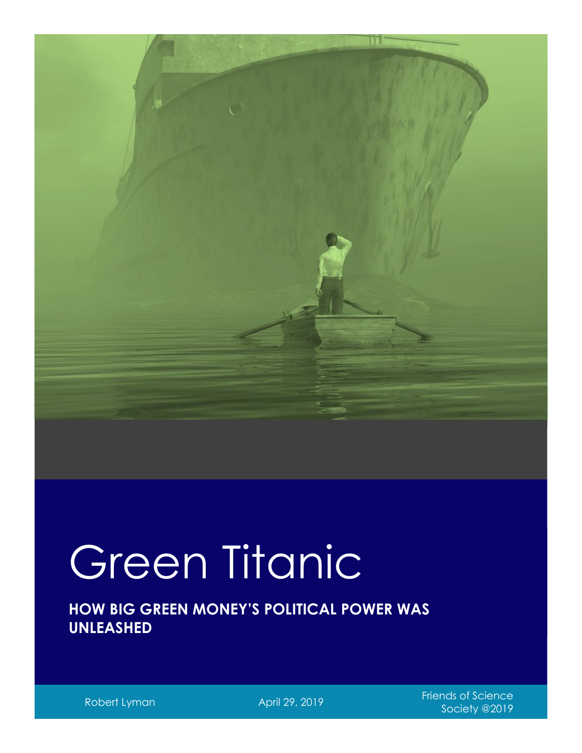

# Green Titanic

**HOW BIG GREEN MONEY'S POLITICAL POWER WAS UNLEASHED**

Robert Lyman April 29, 2019<br>Robert Lyman April 29, 2019 Society @2019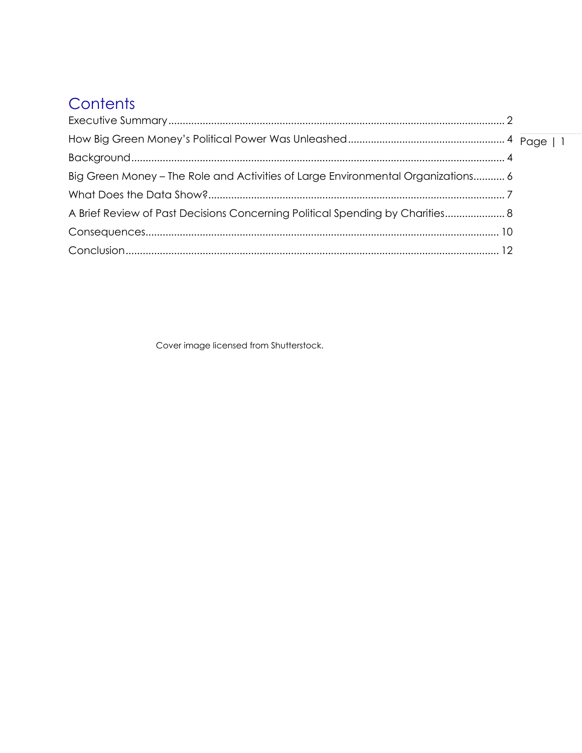# Contents

| Big Green Money - The Role and Activities of Large Environmental Organizations 6 |  |
|----------------------------------------------------------------------------------|--|
|                                                                                  |  |
| A Brief Review of Past Decisions Concerning Political Spending by Charities 8    |  |
|                                                                                  |  |
|                                                                                  |  |

Cover image licensed from Shutterstock.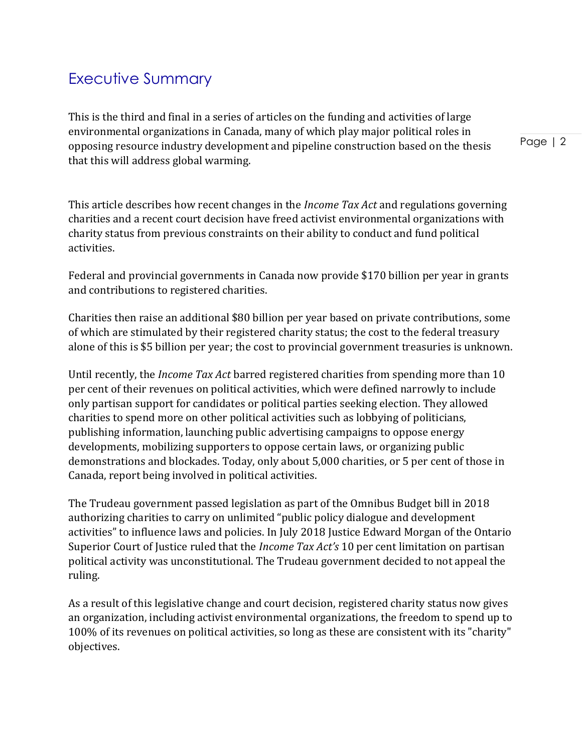# <span id="page-2-0"></span>Executive Summary

This is the third and final in a series of articles on the funding and activities of large environmental organizations in Canada, many of which play major political roles in opposing resource industry development and pipeline construction based on the thesis that this will address global warming.

Page | 2

This article describes how recent changes in the *Income Tax Act* and regulations governing charities and a recent court decision have freed activist environmental organizations with charity status from previous constraints on their ability to conduct and fund political activities.

Federal and provincial governments in Canada now provide \$170 billion per year in grants and contributions to registered charities.

Charities then raise an additional \$80 billion per year based on private contributions, some of which are stimulated by their registered charity status; the cost to the federal treasury alone of this is \$5 billion per year; the cost to provincial government treasuries is unknown.

Until recently, the *Income Tax Act* barred registered charities from spending more than 10 per cent of their revenues on political activities, which were defined narrowly to include only partisan support for candidates or political parties seeking election. They allowed charities to spend more on other political activities such as lobbying of politicians, publishing information, launching public advertising campaigns to oppose energy developments, mobilizing supporters to oppose certain laws, or organizing public demonstrations and blockades. Today, only about 5,000 charities, or 5 per cent of those in Canada, report being involved in political activities.

The Trudeau government passed legislation as part of the Omnibus Budget bill in 2018 authorizing charities to carry on unlimited "public policy dialogue and development activities" to influence laws and policies. In July 2018 Justice Edward Morgan of the Ontario Superior Court of Justice ruled that the *Income Tax Act's* 10 per cent limitation on partisan political activity was unconstitutional. The Trudeau government decided to not appeal the ruling.

As a result of this legislative change and court decision, registered charity status now gives an organization, including activist environmental organizations, the freedom to spend up to 100% of its revenues on political activities, so long as these are consistent with its "charity" objectives.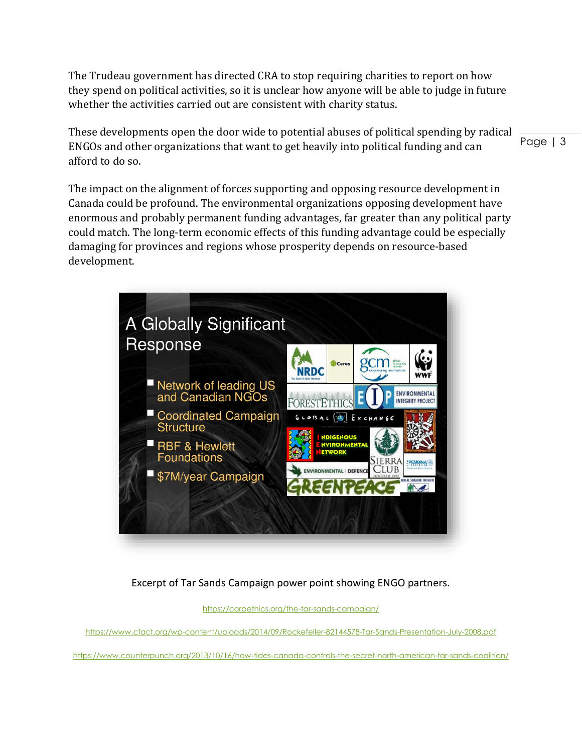The Trudeau government has directed CRA to stop requiring charities to report on how they spend on political activities, so it is unclear how anyone will be able to judge in future whether the activities carried out are consistent with charity status.

These developments open the door wide to potential abuses of political spending by radical ENGOs and other organizations that want to get heavily into political funding and can afford to do so.

Page | 3

The impact on the alignment of forces supporting and opposing resource development in Canada could be profound. The environmental organizations opposing development have enormous and probably permanent funding advantages, far greater than any political party could match. The long-term economic effects of this funding advantage could be especially damaging for provinces and regions whose prosperity depends on resource-based development.



Excerpt of Tar Sands Campaign power point showing ENGO partners.

<https://corpethics.org/the-tar-sands-campaign/>

<https://www.cfact.org/wp-content/uploads/2014/09/Rockefeller-82144578-Tar-Sands-Presentation-July-2008.pdf>

<https://www.counterpunch.org/2013/10/16/how-tides-canada-controls-the-secret-north-american-tar-sands-coalition/>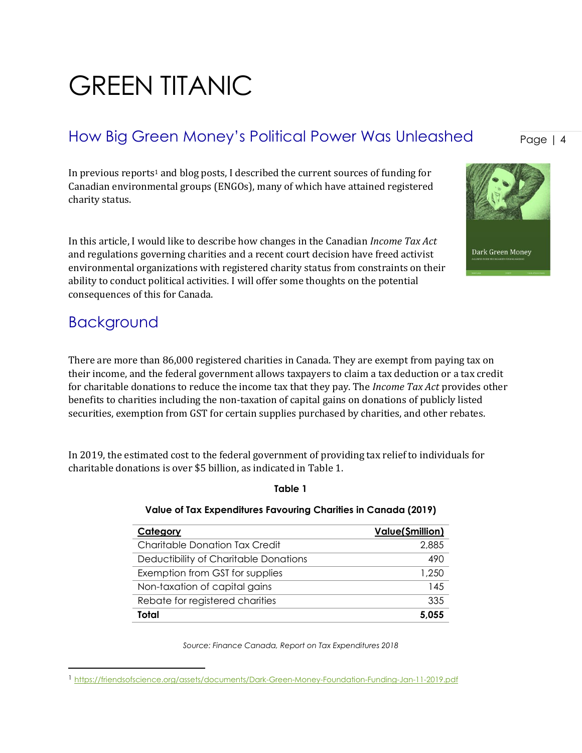# GREEN TITANIC

# <span id="page-4-0"></span>How Big Green Money's Political Power Was Unleashed

In previous reports<sup>1</sup> and blog posts, I described the current sources of funding for Canadian environmental groups (ENGOs), many of which have attained registered charity status.

In this article, I would like to describe how changes in the Canadian *Income Tax Act* and regulations governing charities and a recent court decision have freed activist environmental organizations with registered charity status from constraints on their ability to conduct political activities. I will offer some thoughts on the potential consequences of this for Canada.

### <span id="page-4-1"></span>Background

There are more than 86,000 registered charities in Canada. They are exempt from paying tax on their income, and the federal government allows taxpayers to claim a tax deduction or a tax credit for charitable donations to reduce the income tax that they pay. The *Income Tax Act* provides other benefits to charities including the non-taxation of capital gains on donations of publicly listed securities, exemption from GST for certain supplies purchased by charities, and other rebates.

In 2019, the estimated cost to the federal government of providing tax relief to individuals for charitable donations is over \$5 billion, as indicated in Table 1.

| Category                              | <b>Value(\$million)</b> |
|---------------------------------------|-------------------------|
| Charitable Donation Tax Credit        | 2,885                   |
| Deductibility of Charitable Donations | 490                     |
| Exemption from GST for supplies       | 1,250                   |
| Non-taxation of capital gains         | 145                     |
| Rebate for registered charities       | 335                     |
| Total                                 | 5.055                   |

#### **Value of Tax Expenditures Favouring Charities in Canada (2019)**

**Table 1**

*Source: Finance Canada, Report on Tax Expenditures 2018*

Page | 4

#### Dark Green Money

<sup>1</sup> <https://friendsofscience.org/assets/documents/Dark-Green-Money-Foundation-Funding-Jan-11-2019.pdf>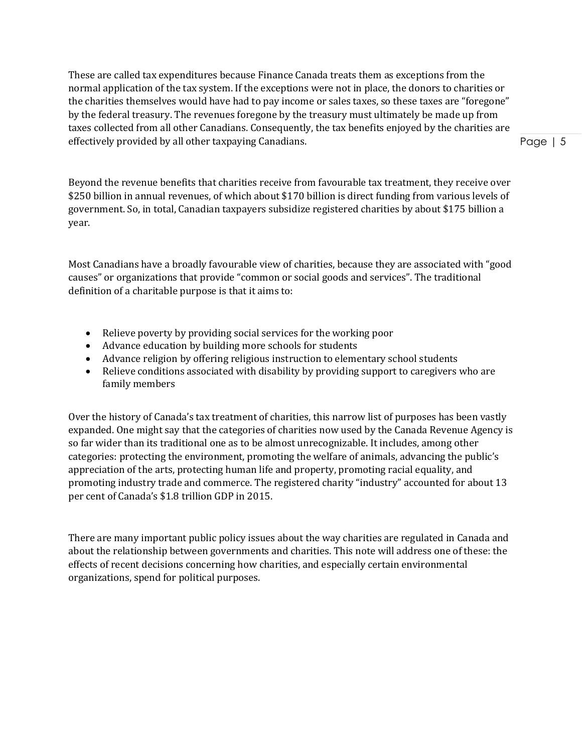These are called tax expenditures because Finance Canada treats them as exceptions from the normal application of the tax system. If the exceptions were not in place, the donors to charities or the charities themselves would have had to pay income or sales taxes, so these taxes are "foregone" by the federal treasury. The revenues foregone by the treasury must ultimately be made up from taxes collected from all other Canadians. Consequently, the tax benefits enjoyed by the charities are effectively provided by all other taxpaying Canadians.

Beyond the revenue benefits that charities receive from favourable tax treatment, they receive over \$250 billion in annual revenues, of which about \$170 billion is direct funding from various levels of government. So, in total, Canadian taxpayers subsidize registered charities by about \$175 billion a year.

Most Canadians have a broadly favourable view of charities, because they are associated with "good causes" or organizations that provide "common or social goods and services". The traditional definition of a charitable purpose is that it aims to:

- Relieve poverty by providing social services for the working poor
- Advance education by building more schools for students
- Advance religion by offering religious instruction to elementary school students
- Relieve conditions associated with disability by providing support to caregivers who are family members

Over the history of Canada's tax treatment of charities, this narrow list of purposes has been vastly expanded. One might say that the categories of charities now used by the Canada Revenue Agency is so far wider than its traditional one as to be almost unrecognizable. It includes, among other categories: protecting the environment, promoting the welfare of animals, advancing the public's appreciation of the arts, protecting human life and property, promoting racial equality, and promoting industry trade and commerce. The registered charity "industry" accounted for about 13 per cent of Canada's \$1.8 trillion GDP in 2015.

There are many important public policy issues about the way charities are regulated in Canada and about the relationship between governments and charities. This note will address one of these: the effects of recent decisions concerning how charities, and especially certain environmental organizations, spend for political purposes.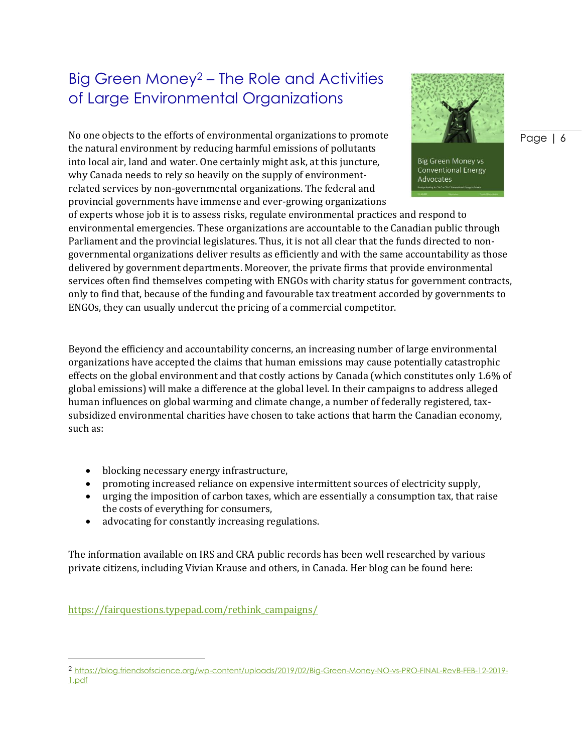# <span id="page-6-0"></span>Big Green Money<sup>2</sup> – The Role and Activities of Large Environmental Organizations

No one objects to the efforts of environmental organizations to promote the natural environment by reducing harmful emissions of pollutants into local air, land and water. One certainly might ask, at this juncture, why Canada needs to rely so heavily on the supply of environmentrelated services by non-governmental organizations. The federal and provincial governments have immense and ever-growing organizations



**Big Green Money vs Conventional Energy** Advocates

of experts whose job it is to assess risks, regulate environmental practices and respond to environmental emergencies. These organizations are accountable to the Canadian public through Parliament and the provincial legislatures. Thus, it is not all clear that the funds directed to nongovernmental organizations deliver results as efficiently and with the same accountability as those delivered by government departments. Moreover, the private firms that provide environmental services often find themselves competing with ENGOs with charity status for government contracts, only to find that, because of the funding and favourable tax treatment accorded by governments to ENGOs, they can usually undercut the pricing of a commercial competitor.

Beyond the efficiency and accountability concerns, an increasing number of large environmental organizations have accepted the claims that human emissions may cause potentially catastrophic effects on the global environment and that costly actions by Canada (which constitutes only 1.6% of global emissions) will make a difference at the global level. In their campaigns to address alleged human influences on global warming and climate change, a number of federally registered, taxsubsidized environmental charities have chosen to take actions that harm the Canadian economy, such as:

- blocking necessary energy infrastructure,
- promoting increased reliance on expensive intermittent sources of electricity supply,
- urging the imposition of carbon taxes, which are essentially a consumption tax, that raise the costs of everything for consumers,
- advocating for constantly increasing regulations.

The information available on IRS and CRA public records has been well researched by various private citizens, including Vivian Krause and others, in Canada. Her blog can be found here:

[https://fairquestions.typepad.com/rethink\\_campaigns/](https://fairquestions.typepad.com/rethink_campaigns/)

 $\overline{a}$ 

<sup>2</sup> [https://blog.friendsofscience.org/wp-content/uploads/2019/02/Big-Green-Money-NO-vs-PRO-FINAL-RevB-FEB-12-2019-](https://blog.friendsofscience.org/wp-content/uploads/2019/02/Big-Green-Money-NO-vs-PRO-FINAL-RevB-FEB-12-2019-1.pdf) [1.pdf](https://blog.friendsofscience.org/wp-content/uploads/2019/02/Big-Green-Money-NO-vs-PRO-FINAL-RevB-FEB-12-2019-1.pdf)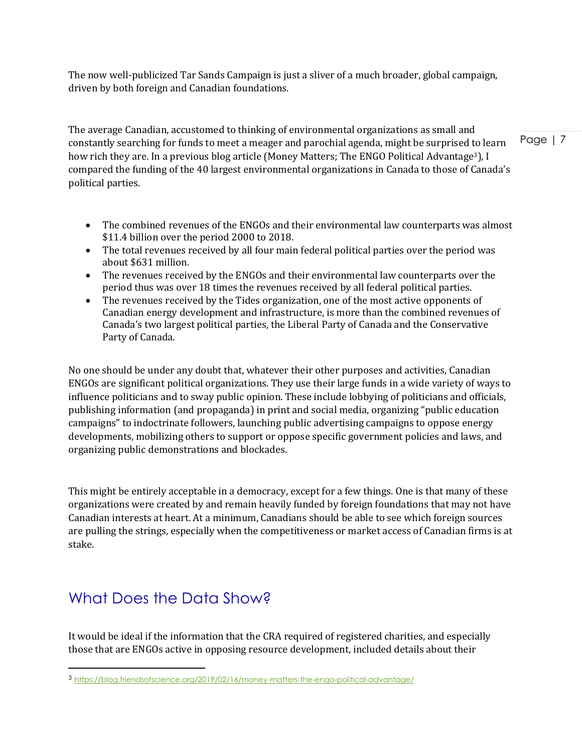The now well-publicized Tar Sands Campaign is just a sliver of a much broader, global campaign, driven by both foreign and Canadian foundations.

The average Canadian, accustomed to thinking of environmental organizations as small and constantly searching for funds to meet a meager and parochial agenda, might be surprised to learn how rich they are. In a previous blog article (Money Matters; The ENGO Political Advantage<sup>3</sup>), I compared the funding of the 40 largest environmental organizations in Canada to those of Canada's political parties.

- The combined revenues of the ENGOs and their environmental law counterparts was almost \$11.4 billion over the period 2000 to 2018.
- The total revenues received by all four main federal political parties over the period was about \$631 million.
- The revenues received by the ENGOs and their environmental law counterparts over the period thus was over 18 times the revenues received by all federal political parties.
- The revenues received by the Tides organization, one of the most active opponents of Canadian energy development and infrastructure, is more than the combined revenues of Canada's two largest political parties, the Liberal Party of Canada and the Conservative Party of Canada.

No one should be under any doubt that, whatever their other purposes and activities, Canadian ENGOs are significant political organizations. They use their large funds in a wide variety of ways to influence politicians and to sway public opinion. These include lobbying of politicians and officials, publishing information (and propaganda) in print and social media, organizing "public education campaigns" to indoctrinate followers, launching public advertising campaigns to oppose energy developments, mobilizing others to support or oppose specific government policies and laws, and organizing public demonstrations and blockades.

This might be entirely acceptable in a democracy, except for a few things. One is that many of these organizations were created by and remain heavily funded by foreign foundations that may not have Canadian interests at heart. At a minimum, Canadians should be able to see which foreign sources are pulling the strings, especially when the competitiveness or market access of Canadian firms is at stake.

# <span id="page-7-0"></span>What Does the Data Show?

It would be ideal if the information that the CRA required of registered charities, and especially those that are ENGOs active in opposing resource development, included details about their

<sup>3</sup> <https://blog.friendsofscience.org/2019/02/16/money-matters-the-engo-political-advantage/>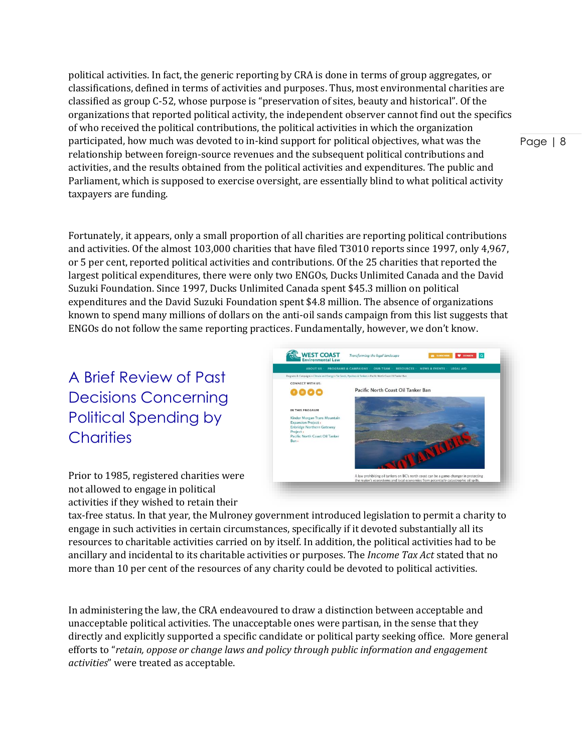political activities. In fact, the generic reporting by CRA is done in terms of group aggregates, or classifications, defined in terms of activities and purposes. Thus, most environmental charities are classified as group C-52, whose purpose is "preservation of sites, beauty and historical". Of the organizations that reported political activity, the independent observer cannot find out the specifics of who received the political contributions, the political activities in which the organization participated, how much was devoted to in-kind support for political objectives, what was the relationship between foreign-source revenues and the subsequent political contributions and activities, and the results obtained from the political activities and expenditures. The public and Parliament, which is supposed to exercise oversight, are essentially blind to what political activity taxpayers are funding.

Fortunately, it appears, only a small proportion of all charities are reporting political contributions and activities. Of the almost 103,000 charities that have filed T3010 reports since 1997, only 4,967, or 5 per cent, reported political activities and contributions. Of the 25 charities that reported the largest political expenditures, there were only two ENGOs, Ducks Unlimited Canada and the David Suzuki Foundation. Since 1997, Ducks Unlimited Canada spent \$45.3 million on political expenditures and the David Suzuki Foundation spent \$4.8 million. The absence of organizations known to spend many millions of dollars on the anti-oil sands campaign from this list suggests that ENGOs do not follow the same reporting practices. Fundamentally, however, we don't know.

<span id="page-8-0"></span>A Brief Review of Past Decisions Concerning Political Spending by **Charities** 

WEST COAST CONNECT WITH US: Pacific North Coast Oil Tanker Ban 0000 A law prohibiting oil tankers on BC's north of

Prior to 1985, registered charities were not allowed to engage in political activities if they wished to retain their

tax-free status. In that year, the Mulroney government introduced legislation to permit a charity to engage in such activities in certain circumstances, specifically if it devoted substantially all its resources to charitable activities carried on by itself. In addition, the political activities had to be ancillary and incidental to its charitable activities or purposes. The *Income Tax Act* stated that no more than 10 per cent of the resources of any charity could be devoted to political activities.

In administering the law, the CRA endeavoured to draw a distinction between acceptable and unacceptable political activities. The unacceptable ones were partisan, in the sense that they directly and explicitly supported a specific candidate or political party seeking office. More general efforts to "*retain, oppose or change laws and policy through public information and engagement activities*" were treated as acceptable.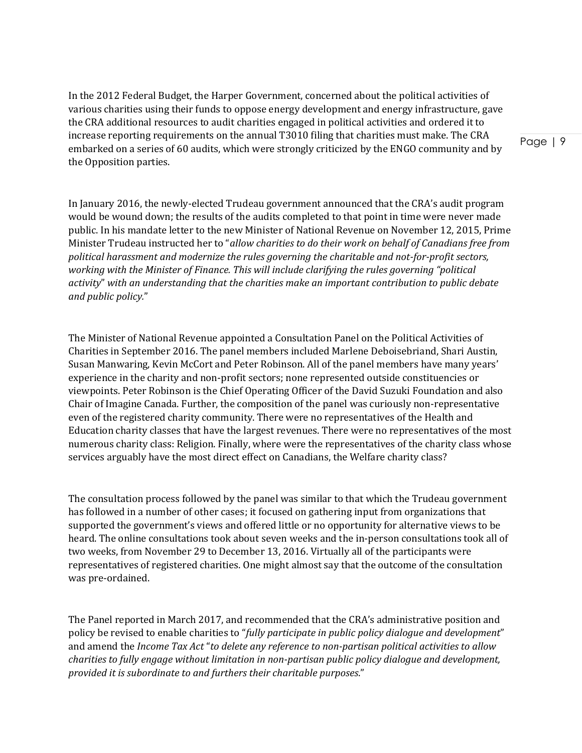In the 2012 Federal Budget, the Harper Government, concerned about the political activities of various charities using their funds to oppose energy development and energy infrastructure, gave the CRA additional resources to audit charities engaged in political activities and ordered it to increase reporting requirements on the annual T3010 filing that charities must make. The CRA embarked on a series of 60 audits, which were strongly criticized by the ENGO community and by the Opposition parties.

Page | 9

In January 2016, the newly-elected Trudeau government announced that the CRA's audit program would be wound down; the results of the audits completed to that point in time were never made public. In his mandate letter to the new Minister of National Revenue on November 12, 2015, Prime Minister Trudeau instructed her to "*allow charities to do their work on behalf of Canadians free from political harassment and modernize the rules governing the charitable and not-for-profit sectors, working with the Minister of Finance. This will include clarifying the rules governing "political activity*" *with an understanding that the charities make an important contribution to public debate and public policy.*"

The Minister of National Revenue appointed a Consultation Panel on the Political Activities of Charities in September 2016. The panel members included Marlene Deboisebriand, Shari Austin, Susan Manwaring, Kevin McCort and Peter Robinson. All of the panel members have many years' experience in the charity and non-profit sectors; none represented outside constituencies or viewpoints. Peter Robinson is the Chief Operating Officer of the David Suzuki Foundation and also Chair of Imagine Canada. Further, the composition of the panel was curiously non-representative even of the registered charity community. There were no representatives of the Health and Education charity classes that have the largest revenues. There were no representatives of the most numerous charity class: Religion. Finally, where were the representatives of the charity class whose services arguably have the most direct effect on Canadians, the Welfare charity class?

The consultation process followed by the panel was similar to that which the Trudeau government has followed in a number of other cases; it focused on gathering input from organizations that supported the government's views and offered little or no opportunity for alternative views to be heard. The online consultations took about seven weeks and the in-person consultations took all of two weeks, from November 29 to December 13, 2016. Virtually all of the participants were representatives of registered charities. One might almost say that the outcome of the consultation was pre-ordained.

The Panel reported in March 2017, and recommended that the CRA's administrative position and policy be revised to enable charities to "*fully participate in public policy dialogue and development*" and amend the *Income Tax Act* "*to delete any reference to non-partisan political activities to allow charities to fully engage without limitation in non-partisan public policy dialogue and development, provided it is subordinate to and furthers their charitable purposes*."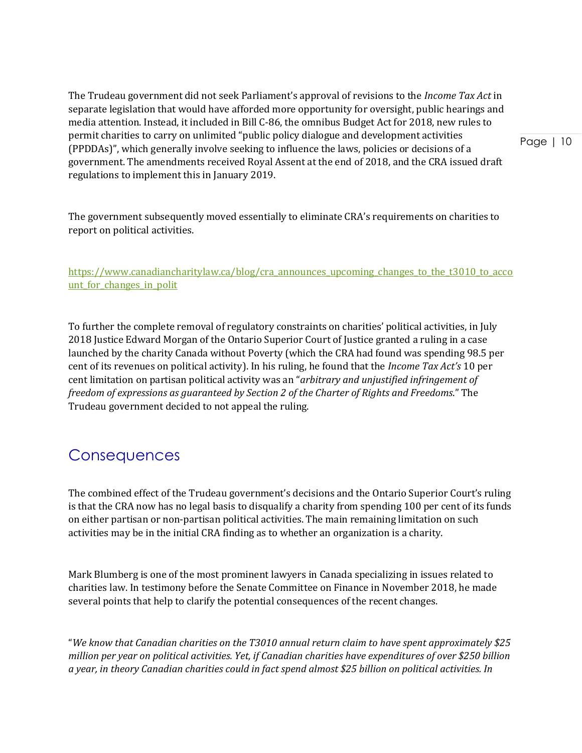The Trudeau government did not seek Parliament's approval of revisions to the *Income Tax Act* in separate legislation that would have afforded more opportunity for oversight, public hearings and media attention. Instead, it included in Bill C-86, the omnibus Budget Act for 2018, new rules to permit charities to carry on unlimited "public policy dialogue and development activities (PPDDAs)", which generally involve seeking to influence the laws, policies or decisions of a government. The amendments received Royal Assent at the end of 2018, and the CRA issued draft regulations to implement this in January 2019.

The government subsequently moved essentially to eliminate CRA's requirements on charities to report on political activities.

[https://www.canadiancharitylaw.ca/blog/cra\\_announces\\_upcoming\\_changes\\_to\\_the\\_t3010\\_to\\_acco](https://www.canadiancharitylaw.ca/blog/cra_announces_upcoming_changes_to_the_t3010_to_account_for_changes_in_polit) unt for changes in polit

To further the complete removal of regulatory constraints on charities' political activities, in July 2018 Justice Edward Morgan of the Ontario Superior Court of Justice granted a ruling in a case launched by the charity Canada without Poverty (which the CRA had found was spending 98.5 per cent of its revenues on political activity). In his ruling, he found that the *Income Tax Act's* 10 per cent limitation on partisan political activity was an "*arbitrary and unjustified infringement of freedom of expressions as guaranteed by Section 2 of the Charter of Rights and Freedoms*." The Trudeau government decided to not appeal the ruling.

# <span id="page-10-0"></span>**Consequences**

The combined effect of the Trudeau government's decisions and the Ontario Superior Court's ruling is that the CRA now has no legal basis to disqualify a charity from spending 100 per cent of its funds on either partisan or non-partisan political activities. The main remaining limitation on such activities may be in the initial CRA finding as to whether an organization is a charity.

Mark Blumberg is one of the most prominent lawyers in Canada specializing in issues related to charities law. In testimony before the Senate Committee on Finance in November 2018, he made several points that help to clarify the potential consequences of the recent changes.

"*We know that Canadian charities on the T3010 annual return claim to have spent approximately \$25 million per year on political activities. Yet, if Canadian charities have expenditures of over \$250 billion a year, in theory Canadian charities could in fact spend almost \$25 billion on political activities. In*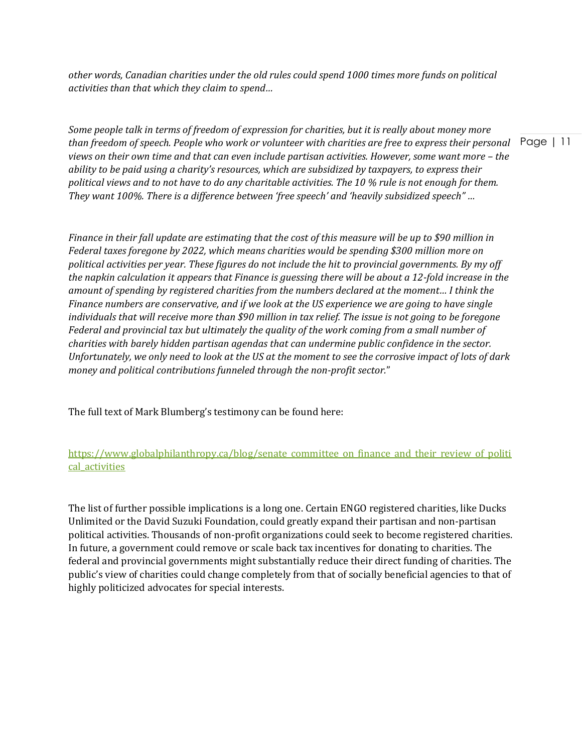*other words, Canadian charities under the old rules could spend 1000 times more funds on political activities than that which they claim to spend…*

than freedom of speech. People who work or volunteer with charities are free to express their personal Page | 11 *Some people talk in terms of freedom of expression for charities, but it is really about money more views on their own time and that can even include partisan activities. However, some want more - the ability to be paid using a charity's resources, which are subsidized by taxpayers, to express their political views and to not have to do any charitable activities. The 10 % rule is not enough for them. They want 100%. There is a difference between 'free speech' and 'heavily subsidized speech" …*

*Finance in their fall update are estimating that the cost of this measure will be up to \$90 million in Federal taxes foregone by 2022, which means charities would be spending \$300 million more on political activities per year. These figures do not include the hit to provincial governments. By my off the napkin calculation it appears that Finance is guessing there will be about a 12-fold increase in the amount of spending by registered charities from the numbers declared at the moment… I think the Finance numbers are conservative, and if we look at the US experience we are going to have single individuals that will receive more than \$90 million in tax relief. The issue is not going to be foregone Federal and provincial tax but ultimately the quality of the work coming from a small number of charities with barely hidden partisan agendas that can undermine public confidence in the sector. Unfortunately, we only need to look at the US at the moment to see the corrosive impact of lots of dark money and political contributions funneled through the non-profit sector.*"

The full text of Mark Blumberg's testimony can be found here:

#### [https://www.globalphilanthropy.ca/blog/senate\\_committee\\_on\\_finance\\_and\\_their\\_review\\_of\\_politi](https://www.globalphilanthropy.ca/blog/senate_committee_on_finance_and_their_review_of_political_activities) [cal\\_activities](https://www.globalphilanthropy.ca/blog/senate_committee_on_finance_and_their_review_of_political_activities)

The list of further possible implications is a long one. Certain ENGO registered charities, like Ducks Unlimited or the David Suzuki Foundation, could greatly expand their partisan and non-partisan political activities. Thousands of non-profit organizations could seek to become registered charities. In future, a government could remove or scale back tax incentives for donating to charities. The federal and provincial governments might substantially reduce their direct funding of charities. The public's view of charities could change completely from that of socially beneficial agencies to that of highly politicized advocates for special interests.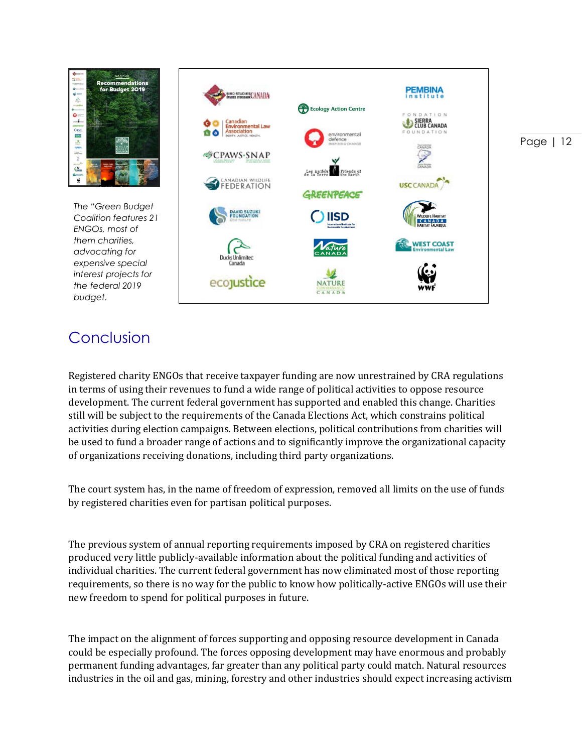

*The "Green Budget Coalition features 21 ENGOs, most of them charities, advocating for expensive special interest projects for the federal 2019 budget.*



### <span id="page-12-0"></span>Conclusion

Registered charity ENGOs that receive taxpayer funding are now unrestrained by CRA regulations in terms of using their revenues to fund a wide range of political activities to oppose resource development. The current federal government has supported and enabled this change. Charities still will be subject to the requirements of the Canada Elections Act, which constrains political activities during election campaigns. Between elections, political contributions from charities will be used to fund a broader range of actions and to significantly improve the organizational capacity of organizations receiving donations, including third party organizations.

The court system has, in the name of freedom of expression, removed all limits on the use of funds by registered charities even for partisan political purposes.

The previous system of annual reporting requirements imposed by CRA on registered charities produced very little publicly-available information about the political funding and activities of individual charities. The current federal government has now eliminated most of those reporting requirements, so there is no way for the public to know how politically-active ENGOs will use their new freedom to spend for political purposes in future.

The impact on the alignment of forces supporting and opposing resource development in Canada could be especially profound. The forces opposing development may have enormous and probably permanent funding advantages, far greater than any political party could match. Natural resources industries in the oil and gas, mining, forestry and other industries should expect increasing activism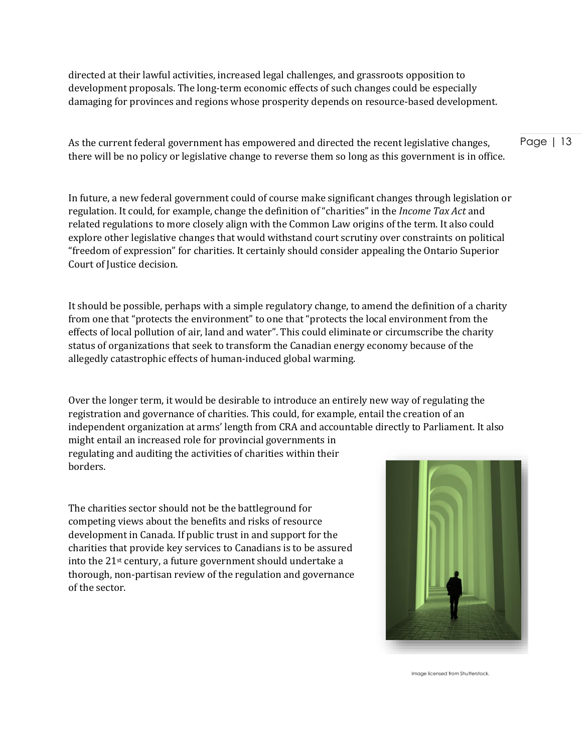directed at their lawful activities, increased legal challenges, and grassroots opposition to development proposals. The long-term economic effects of such changes could be especially damaging for provinces and regions whose prosperity depends on resource-based development.

As the current federal government has empowered and directed the recent legislative changes, there will be no policy or legislative change to reverse them so long as this government is in office.

In future, a new federal government could of course make significant changes through legislation or regulation. It could, for example, change the definition of "charities" in the *Income Tax Act* and related regulations to more closely align with the Common Law origins of the term. It also could explore other legislative changes that would withstand court scrutiny over constraints on political "freedom of expression" for charities. It certainly should consider appealing the Ontario Superior Court of Justice decision.

It should be possible, perhaps with a simple regulatory change, to amend the definition of a charity from one that "protects the environment" to one that "protects the local environment from the effects of local pollution of air, land and water". This could eliminate or circumscribe the charity status of organizations that seek to transform the Canadian energy economy because of the allegedly catastrophic effects of human-induced global warming.

Over the longer term, it would be desirable to introduce an entirely new way of regulating the registration and governance of charities. This could, for example, entail the creation of an independent organization at arms' length from CRA and accountable directly to Parliament. It also might entail an increased role for provincial governments in regulating and auditing the activities of charities within their borders.

The charities sector should not be the battleground for competing views about the benefits and risks of resource development in Canada. If public trust in and support for the charities that provide key services to Canadians is to be assured into the 21st century, a future government should undertake a thorough, non-partisan review of the regulation and governance of the sector.



Image licensed from Shutterstock.